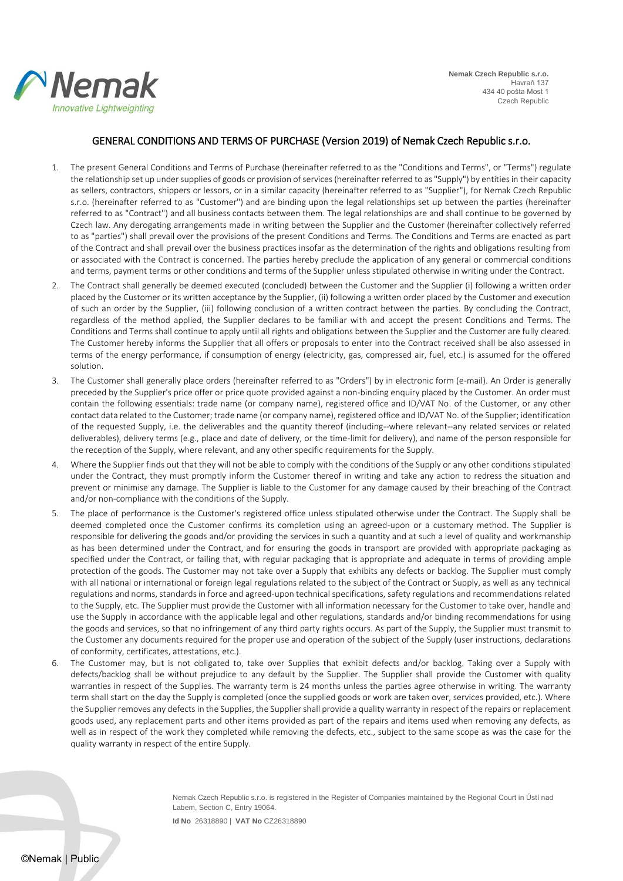

## GENERAL CONDITIONS AND TERMS OF PURCHASE (Version 2019) of Nemak Czech Republic s.r.o.

- 1. The present General Conditions and Terms of Purchase (hereinafter referred to as the "Conditions and Terms", or "Terms") regulate the relationship set up under supplies of goods or provision of services (hereinafter referred to as "Supply") by entities in their capacity as sellers, contractors, shippers or lessors, or in a similar capacity (hereinafter referred to as "Supplier"), for Nemak Czech Republic s.r.o. (hereinafter referred to as "Customer") and are binding upon the legal relationships set up between the parties (hereinafter referred to as "Contract") and all business contacts between them. The legal relationships are and shall continue to be governed by Czech law. Any derogating arrangements made in writing between the Supplier and the Customer (hereinafter collectively referred to as "parties") shall prevail over the provisions of the present Conditions and Terms. The Conditions and Terms are enacted as part of the Contract and shall prevail over the business practices insofar as the determination of the rights and obligations resulting from or associated with the Contract is concerned. The parties hereby preclude the application of any general or commercial conditions and terms, payment terms or other conditions and terms of the Supplier unless stipulated otherwise in writing under the Contract.
- 2. The Contract shall generally be deemed executed (concluded) between the Customer and the Supplier (i) following a written order placed by the Customer or its written acceptance by the Supplier, (ii) following a written order placed by the Customer and execution of such an order by the Supplier, (iii) following conclusion of a written contract between the parties. By concluding the Contract, regardless of the method applied, the Supplier declares to be familiar with and accept the present Conditions and Terms. The Conditions and Terms shall continue to apply until all rights and obligations between the Supplier and the Customer are fully cleared. The Customer hereby informs the Supplier that all offers or proposals to enter into the Contract received shall be also assessed in terms of the energy performance, if consumption of energy (electricity, gas, compressed air, fuel, etc.) is assumed for the offered solution.
- 3. The Customer shall generally place orders (hereinafter referred to as "Orders") by in electronic form (e-mail). An Order is generally preceded by the Supplier's price offer or price quote provided against a non-binding enquiry placed by the Customer. An order must contain the following essentials: trade name (or company name), registered office and ID/VAT No. of the Customer, or any other contact data related to the Customer; trade name (or company name), registered office and ID/VAT No. of the Supplier; identification of the requested Supply, i.e. the deliverables and the quantity thereof (including--where relevant--any related services or related deliverables), delivery terms (e.g., place and date of delivery, or the time-limit for delivery), and name of the person responsible for the reception of the Supply, where relevant, and any other specific requirements for the Supply.
- 4. Where the Supplier finds out that they will not be able to comply with the conditions of the Supply or any other conditions stipulated under the Contract, they must promptly inform the Customer thereof in writing and take any action to redress the situation and prevent or minimise any damage. The Supplier is liable to the Customer for any damage caused by their breaching of the Contract and/or non-compliance with the conditions of the Supply.
- 5. The place of performance is the Customer's registered office unless stipulated otherwise under the Contract. The Supply shall be deemed completed once the Customer confirms its completion using an agreed-upon or a customary method. The Supplier is responsible for delivering the goods and/or providing the services in such a quantity and at such a level of quality and workmanship as has been determined under the Contract, and for ensuring the goods in transport are provided with appropriate packaging as specified under the Contract, or failing that, with regular packaging that is appropriate and adequate in terms of providing ample protection of the goods. The Customer may not take over a Supply that exhibits any defects or backlog. The Supplier must comply with all national or international or foreign legal regulations related to the subject of the Contract or Supply, as well as any technical regulations and norms, standards in force and agreed-upon technical specifications, safety regulations and recommendations related to the Supply, etc. The Supplier must provide the Customer with all information necessary for the Customer to take over, handle and use the Supply in accordance with the applicable legal and other regulations, standards and/or binding recommendations for using the goods and services, so that no infringement of any third party rights occurs. As part of the Supply, the Supplier must transmit to the Customer any documents required for the proper use and operation of the subject of the Supply (user instructions, declarations of conformity, certificates, attestations, etc.).
- 6. The Customer may, but is not obligated to, take over Supplies that exhibit defects and/or backlog. Taking over a Supply with defects/backlog shall be without prejudice to any default by the Supplier. The Supplier shall provide the Customer with quality warranties in respect of the Supplies. The warranty term is 24 months unless the parties agree otherwise in writing. The warranty term shall start on the day the Supply is completed (once the supplied goods or work are taken over, services provided, etc.). Where the Supplier removes any defects in the Supplies, the Supplier shall provide a quality warranty in respect of the repairs or replacement goods used, any replacement parts and other items provided as part of the repairs and items used when removing any defects, as well as in respect of the work they completed while removing the defects, etc., subject to the same scope as was the case for the quality warranty in respect of the entire Supply.

Nemak Czech Republic s.r.o. is registered in the Register of Companies maintained by the Regional Court in Ústí nad Labem, Section C, Entry 19064.

**Id No** 26318890 | **VAT No** CZ26318890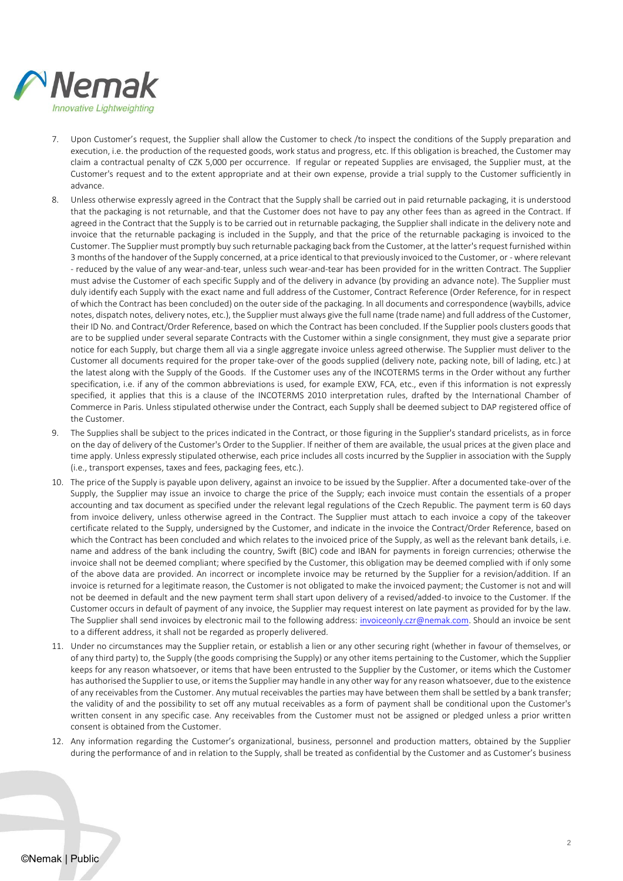

- 7. Upon Customer's request, the Supplier shall allow the Customer to check /to inspect the conditions of the Supply preparation and execution, i.e. the production of the requested goods, work status and progress, etc. If this obligation is breached, the Customer may claim a contractual penalty of CZK 5,000 per occurrence. If regular or repeated Supplies are envisaged, the Supplier must, at the Customer's request and to the extent appropriate and at their own expense, provide a trial supply to the Customer sufficiently in advance.
- 8. Unless otherwise expressly agreed in the Contract that the Supply shall be carried out in paid returnable packaging, it is understood that the packaging is not returnable, and that the Customer does not have to pay any other fees than as agreed in the Contract. If agreed in the Contract that the Supply is to be carried out in returnable packaging, the Supplier shall indicate in the delivery note and invoice that the returnable packaging is included in the Supply, and that the price of the returnable packaging is invoiced to the Customer. The Supplier must promptly buy such returnable packaging back from the Customer, at the latter's request furnished within 3 months of the handover of the Supply concerned, at a price identical to that previously invoiced to the Customer, or - where relevant - reduced by the value of any wear-and-tear, unless such wear-and-tear has been provided for in the written Contract. The Supplier must advise the Customer of each specific Supply and of the delivery in advance (by providing an advance note). The Supplier must duly identify each Supply with the exact name and full address of the Customer, Contract Reference (Order Reference, for in respect of which the Contract has been concluded) on the outer side of the packaging. In all documents and correspondence (waybills, advice notes, dispatch notes, delivery notes, etc.), the Supplier must always give the full name (trade name) and full address of the Customer, their ID No. and Contract/Order Reference, based on which the Contract has been concluded. If the Supplier pools clusters goods that are to be supplied under several separate Contracts with the Customer within a single consignment, they must give a separate prior notice for each Supply, but charge them all via a single aggregate invoice unless agreed otherwise. The Supplier must deliver to the Customer all documents required for the proper take-over of the goods supplied (delivery note, packing note, bill of lading, etc.) at the latest along with the Supply of the Goods. If the Customer uses any of the INCOTERMS terms in the Order without any further specification, i.e. if any of the common abbreviations is used, for example EXW, FCA, etc., even if this information is not expressly specified, it applies that this is a clause of the INCOTERMS 2010 interpretation rules, drafted by the International Chamber of Commerce in Paris. Unless stipulated otherwise under the Contract, each Supply shall be deemed subject to DAP registered office of the Customer.
- 9. The Supplies shall be subject to the prices indicated in the Contract, or those figuring in the Supplier's standard pricelists, as in force on the day of delivery of the Customer's Order to the Supplier. If neither of them are available, the usual prices at the given place and time apply. Unless expressly stipulated otherwise, each price includes all costs incurred by the Supplier in association with the Supply (i.e., transport expenses, taxes and fees, packaging fees, etc.).
- 10. The price of the Supply is payable upon delivery, against an invoice to be issued by the Supplier. After a documented take-over of the Supply, the Supplier may issue an invoice to charge the price of the Supply; each invoice must contain the essentials of a proper accounting and tax document as specified under the relevant legal regulations of the Czech Republic. The payment term is 60 days from invoice delivery, unless otherwise agreed in the Contract. The Supplier must attach to each invoice a copy of the takeover certificate related to the Supply, undersigned by the Customer, and indicate in the invoice the Contract/Order Reference, based on which the Contract has been concluded and which relates to the invoiced price of the Supply, as well as the relevant bank details, i.e. name and address of the bank including the country, Swift (BIC) code and IBAN for payments in foreign currencies; otherwise the invoice shall not be deemed compliant; where specified by the Customer, this obligation may be deemed complied with if only some of the above data are provided. An incorrect or incomplete invoice may be returned by the Supplier for a revision/addition. If an invoice is returned for a legitimate reason, the Customer is not obligated to make the invoiced payment; the Customer is not and will not be deemed in default and the new payment term shall start upon delivery of a revised/added-to invoice to the Customer. If the Customer occurs in default of payment of any invoice, the Supplier may request interest on late payment as provided for by the law. The Supplier shall send invoices by electronic mail to the following address: [invoiceonly.czr@nemak.com.](mailto:invoiceonly.czr@nemak.com) Should an invoice be sent to a different address, it shall not be regarded as properly delivered.
- 11. Under no circumstances may the Supplier retain, or establish a lien or any other securing right (whether in favour of themselves, or of any third party) to, the Supply (the goods comprising the Supply) or any other items pertaining to the Customer, which the Supplier keeps for any reason whatsoever, or items that have been entrusted to the Supplier by the Customer, or items which the Customer has authorised the Supplier to use, or items the Supplier may handle in any other way for any reason whatsoever, due to the existence of any receivables from the Customer. Any mutual receivables the parties may have between them shall be settled by a bank transfer; the validity of and the possibility to set off any mutual receivables as a form of payment shall be conditional upon the Customer's written consent in any specific case. Any receivables from the Customer must not be assigned or pledged unless a prior written consent is obtained from the Customer.
- 12. Any information regarding the Customer's organizational, business, personnel and production matters, obtained by the Supplier during the performance of and in relation to the Supply, shall be treated as confidential by the Customer and as Customer's business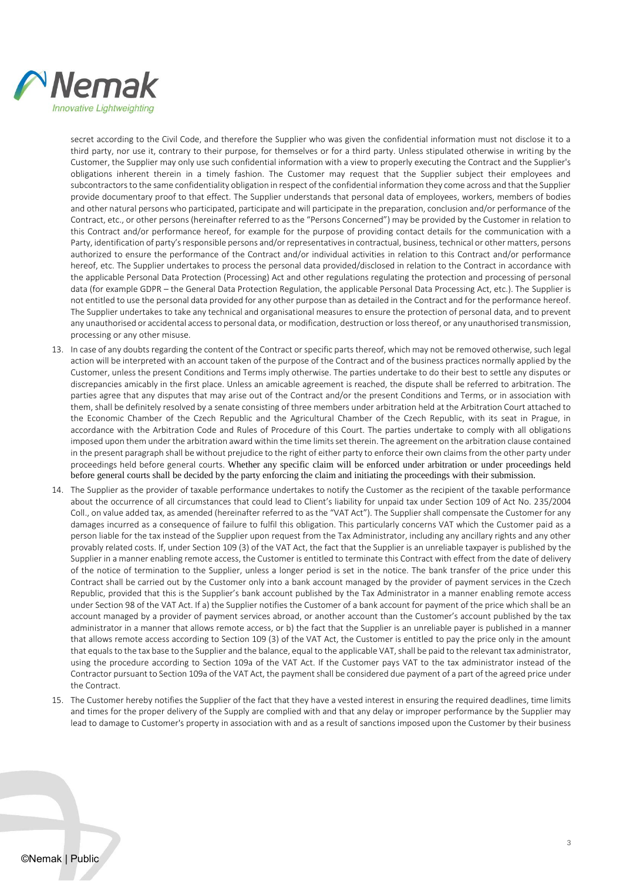

secret according to the Civil Code, and therefore the Supplier who was given the confidential information must not disclose it to a third party, nor use it, contrary to their purpose, for themselves or for a third party. Unless stipulated otherwise in writing by the Customer, the Supplier may only use such confidential information with a view to properly executing the Contract and the Supplier's obligations inherent therein in a timely fashion. The Customer may request that the Supplier subject their employees and subcontractors to the same confidentiality obligation in respect of the confidential information they come across and that the Supplier provide documentary proof to that effect. The Supplier understands that personal data of employees, workers, members of bodies and other natural persons who participated, participate and will participate in the preparation, conclusion and/or performance of the Contract, etc., or other persons (hereinafter referred to as the "Persons Concerned") may be provided by the Customer in relation to this Contract and/or performance hereof, for example for the purpose of providing contact details for the communication with a Party, identification of party's responsible persons and/or representatives in contractual, business, technical or other matters, persons authorized to ensure the performance of the Contract and/or individual activities in relation to this Contract and/or performance hereof, etc. The Supplier undertakes to process the personal data provided/disclosed in relation to the Contract in accordance with the applicable Personal Data Protection (Processing) Act and other regulations regulating the protection and processing of personal data (for example GDPR – the General Data Protection Regulation, the applicable Personal Data Processing Act, etc.). The Supplier is not entitled to use the personal data provided for any other purpose than as detailed in the Contract and for the performance hereof. The Supplier undertakes to take any technical and organisational measures to ensure the protection of personal data, and to prevent any unauthorised or accidental access to personal data, or modification, destruction or loss thereof, or any unauthorised transmission, processing or any other misuse.

- 13. In case of any doubts regarding the content of the Contract or specific parts thereof, which may not be removed otherwise, such legal action will be interpreted with an account taken of the purpose of the Contract and of the business practices normally applied by the Customer, unless the present Conditions and Terms imply otherwise. The parties undertake to do their best to settle any disputes or discrepancies amicably in the first place. Unless an amicable agreement is reached, the dispute shall be referred to arbitration. The parties agree that any disputes that may arise out of the Contract and/or the present Conditions and Terms, or in association with them, shall be definitely resolved by a senate consisting of three members under arbitration held at the Arbitration Court attached to the Economic Chamber of the Czech Republic and the Agricultural Chamber of the Czech Republic, with its seat in Prague, in accordance with the Arbitration Code and Rules of Procedure of this Court. The parties undertake to comply with all obligations imposed upon them under the arbitration award within the time limits set therein. The agreement on the arbitration clause contained in the present paragraph shall be without prejudice to the right of either party to enforce their own claims from the other party under proceedings held before general courts. Whether any specific claim will be enforced under arbitration or under proceedings held before general courts shall be decided by the party enforcing the claim and initiating the proceedings with their submission.
- 14. The Supplier as the provider of taxable performance undertakes to notify the Customer as the recipient of the taxable performance about the occurrence of all circumstances that could lead to Client's liability for unpaid tax under Section 109 of Act No. 235/2004 Coll., on value added tax, as amended (hereinafter referred to as the "VAT Act"). The Supplier shall compensate the Customer for any damages incurred as a consequence of failure to fulfil this obligation. This particularly concerns VAT which the Customer paid as a person liable for the tax instead of the Supplier upon request from the Tax Administrator, including any ancillary rights and any other provably related costs. If, under Section 109 (3) of the VAT Act, the fact that the Supplier is an unreliable taxpayer is published by the Supplier in a manner enabling remote access, the Customer is entitled to terminate this Contract with effect from the date of delivery of the notice of termination to the Supplier, unless a longer period is set in the notice. The bank transfer of the price under this Contract shall be carried out by the Customer only into a bank account managed by the provider of payment services in the Czech Republic, provided that this is the Supplier's bank account published by the Tax Administrator in a manner enabling remote access under Section 98 of the VAT Act. If a) the Supplier notifies the Customer of a bank account for payment of the price which shall be an account managed by a provider of payment services abroad, or another account than the Customer's account published by the tax administrator in a manner that allows remote access, or b) the fact that the Supplier is an unreliable payer is published in a manner that allows remote access according to Section 109 (3) of the VAT Act, the Customer is entitled to pay the price only in the amount that equals to the tax base to the Supplier and the balance, equal to the applicable VAT, shall be paid to the relevant tax administrator, using the procedure according to Section 109a of the VAT Act. If the Customer pays VAT to the tax administrator instead of the Contractor pursuant to Section 109a of the VAT Act, the payment shall be considered due payment of a part of the agreed price under the Contract.
- 15. The Customer hereby notifies the Supplier of the fact that they have a vested interest in ensuring the required deadlines, time limits and times for the proper delivery of the Supply are complied with and that any delay or improper performance by the Supplier may lead to damage to Customer's property in association with and as a result of sanctions imposed upon the Customer by their business